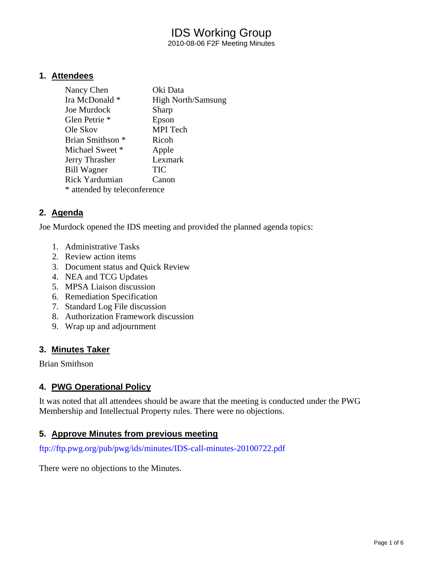2010-08-06 F2F Meeting Minutes

### **1. Attendees**

| Nancy Chen                   | Oki Data                  |  |
|------------------------------|---------------------------|--|
| Ira McDonald *               | <b>High North/Samsung</b> |  |
| Joe Murdock                  | Sharp                     |  |
| Glen Petrie <sup>*</sup>     | Epson                     |  |
| Ole Skov                     | <b>MPI</b> Tech           |  |
| Brian Smithson <sup>*</sup>  | Ricoh                     |  |
| Michael Sweet *              | Apple                     |  |
| Jerry Thrasher               | Lexmark                   |  |
| <b>Bill Wagner</b>           | TIC                       |  |
| <b>Rick Yardumian</b>        | Canon                     |  |
| * attended by teleconference |                           |  |

### **2. Agenda**

Joe Murdock opened the IDS meeting and provided the planned agenda topics:

- 1. Administrative Tasks
- 2. Review action items
- 3. Document status and Quick Review
- 4. NEA and TCG Updates
- 5. MPSA Liaison discussion
- 6. Remediation Specification
- 7. Standard Log File discussion
- 8. Authorization Framework discussion
- 9. Wrap up and adjournment

#### **3. Minutes Taker**

Brian Smithson

#### **4. PWG Operational Policy**

It was noted that all attendees should be aware that the meeting is conducted under the PWG Membership and Intellectual Property rules. There were no objections.

#### **5. Approve Minutes from previous meeting**

<ftp://ftp.pwg.org/pub/pwg/ids/minutes/IDS-call-minutes-20100722.pdf>

There were no objections to the Minutes.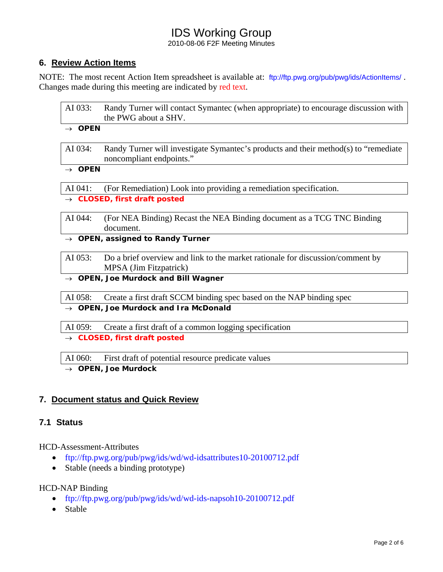2010-08-06 F2F Meeting Minutes

# **6. Review Action Items**

NOTE: The most recent Action Item spreadsheet is available at: <ftp://ftp.pwg.org/pub/pwg/ids/ActionItems/>. Changes made during this meeting are indicated by red text.

| AI 033:                                          | Randy Turner will contact Symantec (when appropriate) to encourage discussion with<br>the PWG about a SHV.      |  |
|--------------------------------------------------|-----------------------------------------------------------------------------------------------------------------|--|
| $\rightarrow$ OPEN                               |                                                                                                                 |  |
| AI 034:                                          | Randy Turner will investigate Symantec's products and their method(s) to "remediate<br>noncompliant endpoints." |  |
| $\rightarrow$ OPEN                               |                                                                                                                 |  |
| AI 041:                                          | (For Remediation) Look into providing a remediation specification.                                              |  |
|                                                  | $\rightarrow$ CLOSED, first draft posted                                                                        |  |
| AI 044:                                          | (For NEA Binding) Recast the NEA Binding document as a TCG TNC Binding<br>document.                             |  |
|                                                  | $\rightarrow$ OPEN, assigned to Randy Turner                                                                    |  |
| AI 053:                                          | Do a brief overview and link to the market rationale for discussion/comment by<br>MPSA (Jim Fitzpatrick)        |  |
| $\rightarrow$ OPEN, Joe Murdock and Bill Wagner  |                                                                                                                 |  |
| AI 058:                                          | Create a first draft SCCM binding spec based on the NAP binding spec                                            |  |
| $\rightarrow$ OPEN, Joe Murdock and Ira McDonald |                                                                                                                 |  |
| AI 059:                                          | Create a first draft of a common logging specification                                                          |  |
| <b>CLOSED, first draft posted</b>                |                                                                                                                 |  |

AI 060: First draft of potential resource predicate values

→ *OPEN, Joe Murdock* 

# **7. Document status and Quick Review**

# **7.1 Status**

HCD-Assessment-Attributes

- <ftp://ftp.pwg.org/pub/pwg/ids/wd/wd-idsattributes10-20100712.pdf>
- Stable (needs a binding prototype)

#### HCD-NAP Binding

- <ftp://ftp.pwg.org/pub/pwg/ids/wd/wd-ids-napsoh10-20100712.pdf>
- Stable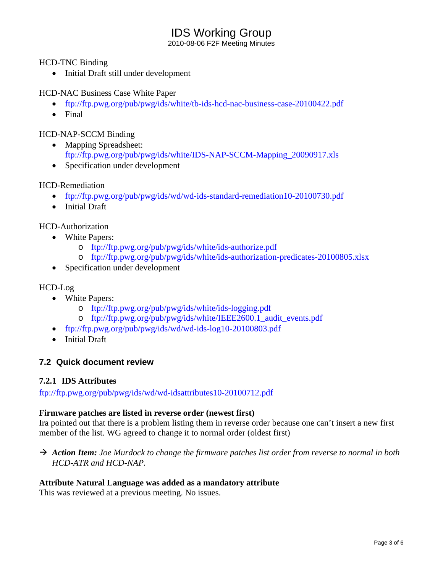2010-08-06 F2F Meeting Minutes

HCD-TNC Binding

• Initial Draft still under development

HCD-NAC Business Case White Paper

- <ftp://ftp.pwg.org/pub/pwg/ids/white/tb-ids-hcd-nac-business-case-20100422.pdf>
- Final

### HCD-NAP-SCCM Binding

- Mapping Spreadsheet: [ftp://ftp.pwg.org/pub/pwg/ids/white/IDS-NAP-SCCM-Mapping\\_20090917.xls](ftp://ftp.pwg.org/pub/pwg/ids/white/IDS-NAP-SCCM-Mapping_20090917.xls)
- Specification under development

### HCD-Remediation

- <ftp://ftp.pwg.org/pub/pwg/ids/wd/wd-ids-standard-remediation10-20100730.pdf>
- Initial Draft

HCD-Authorization

- White Papers:
	- o <ftp://ftp.pwg.org/pub/pwg/ids/white/ids-authorize.pdf>
	- o <ftp://ftp.pwg.org/pub/pwg/ids/white/ids-authorization-predicates-20100805.xlsx>
- Specification under development

#### HCD-Log

- White Papers:
	- o <ftp://ftp.pwg.org/pub/pwg/ids/white/ids-logging.pdf>
	- o [ftp://ftp.pwg.org/pub/pwg/ids/white/IEEE2600.1\\_audit\\_events.pdf](ftp://ftp.pwg.org/pub/pwg/ids/white/IEEE2600.1_audit_events.pdf)
- <ftp://ftp.pwg.org/pub/pwg/ids/wd/wd-ids-log10-20100803.pdf>
- Initial Draft

# **7.2 Quick document review**

#### **7.2.1 IDS Attributes**

<ftp://ftp.pwg.org/pub/pwg/ids/wd/wd-idsattributes10-20100712.pdf>

#### **Firmware patches are listed in reverse order (newest first)**

Ira pointed out that there is a problem listing them in reverse order because one can't insert a new first member of the list. WG agreed to change it to normal order (oldest first)

→ Action Item: Joe Murdock to change the firmware patches list order from reverse to normal in both *HCD-ATR and HCD-NAP.* 

#### **Attribute Natural Language was added as a mandatory attribute**

This was reviewed at a previous meeting. No issues.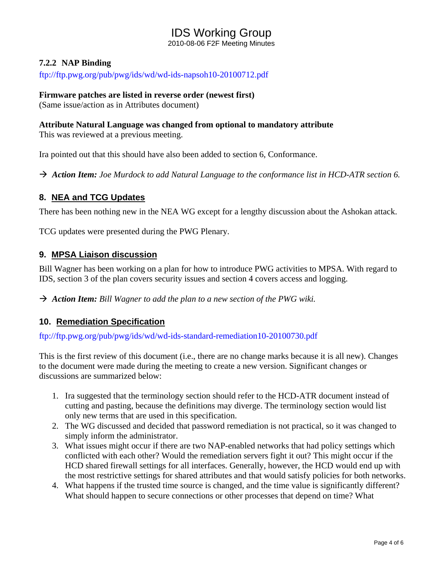2010-08-06 F2F Meeting Minutes

# **7.2.2 NAP Binding**

<ftp://ftp.pwg.org/pub/pwg/ids/wd/wd-ids-napsoh10-20100712.pdf>

#### **Firmware patches are listed in reverse order (newest first)**

(Same issue/action as in Attributes document)

### **Attribute Natural Language was changed from optional to mandatory attribute**

This was reviewed at a previous meeting.

Ira pointed out that this should have also been added to section 6, Conformance.

→ Action Item: Joe Murdock to add Natural Language to the conformance list in HCD-ATR section 6.

# **8. NEA and TCG Updates**

There has been nothing new in the NEA WG except for a lengthy discussion about the Ashokan attack.

TCG updates were presented during the PWG Plenary.

### **9. MPSA Liaison discussion**

Bill Wagner has been working on a plan for how to introduce PWG activities to MPSA. With regard to IDS, section 3 of the plan covers security issues and section 4 covers access and logging.

Action Item: Bill Wagner to add the plan to a new section of the PWG wiki.

# **10. Remediation Specification**

<ftp://ftp.pwg.org/pub/pwg/ids/wd/wd-ids-standard-remediation10-20100730.pdf>

This is the first review of this document (i.e., there are no change marks because it is all new). Changes to the document were made during the meeting to create a new version. Significant changes or discussions are summarized below:

- 1. Ira suggested that the terminology section should refer to the HCD-ATR document instead of cutting and pasting, because the definitions may diverge. The terminology section would list only new terms that are used in this specification.
- 2. The WG discussed and decided that password remediation is not practical, so it was changed to simply inform the administrator.
- 3. What issues might occur if there are two NAP-enabled networks that had policy settings which conflicted with each other? Would the remediation servers fight it out? This might occur if the HCD shared firewall settings for all interfaces. Generally, however, the HCD would end up with the most restrictive settings for shared attributes and that would satisfy policies for both networks.
- 4. What happens if the trusted time source is changed, and the time value is significantly different? What should happen to secure connections or other processes that depend on time? What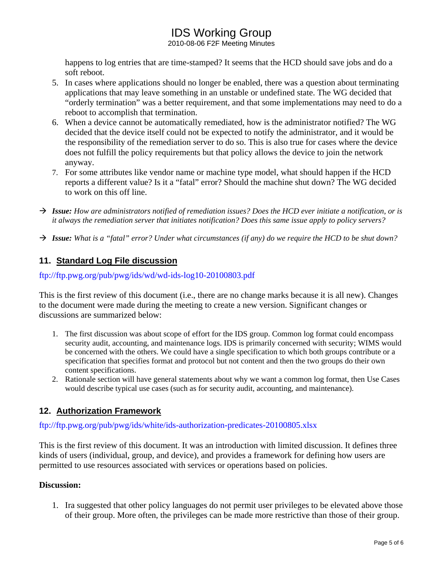2010-08-06 F2F Meeting Minutes

happens to log entries that are time-stamped? It seems that the HCD should save jobs and do a soft reboot.

- 5. In cases where applications should no longer be enabled, there was a question about terminating applications that may leave something in an unstable or undefined state. The WG decided that "orderly termination" was a better requirement, and that some implementations may need to do a reboot to accomplish that termination.
- 6. When a device cannot be automatically remediated, how is the administrator notified? The WG decided that the device itself could not be expected to notify the administrator, and it would be the responsibility of the remediation server to do so. This is also true for cases where the device does not fulfill the policy requirements but that policy allows the device to join the network anyway.
- 7. For some attributes like vendor name or machine type model, what should happen if the HCD reports a different value? Is it a "fatal" error? Should the machine shut down? The WG decided to work on this off line.
- → Issue: How are administrators notified of remediation issues? Does the HCD ever initiate a notification, or is *it always the remediation server that initiates notification? Does this same issue apply to policy servers?*
- → **Issue:** What is a "fatal" error? Under what circumstances (if any) do we require the HCD to be shut down?

# **11. Standard Log File discussion**

### <ftp://ftp.pwg.org/pub/pwg/ids/wd/wd-ids-log10-20100803.pdf>

This is the first review of this document (i.e., there are no change marks because it is all new). Changes to the document were made during the meeting to create a new version. Significant changes or discussions are summarized below:

- 1. The first discussion was about scope of effort for the IDS group. Common log format could encompass security audit, accounting, and maintenance logs. IDS is primarily concerned with security; WIMS would be concerned with the others. We could have a single specification to which both groups contribute or a specification that specifies format and protocol but not content and then the two groups do their own content specifications.
- 2. Rationale section will have general statements about why we want a common log format, then Use Cases would describe typical use cases (such as for security audit, accounting, and maintenance).

# **12. Authorization Framework**

# <ftp://ftp.pwg.org/pub/pwg/ids/white/ids-authorization-predicates-20100805.xlsx>

This is the first review of this document. It was an introduction with limited discussion. It defines three kinds of users (individual, group, and device), and provides a framework for defining how users are permitted to use resources associated with services or operations based on policies.

#### **Discussion:**

1. Ira suggested that other policy languages do not permit user privileges to be elevated above those of their group. More often, the privileges can be made more restrictive than those of their group.